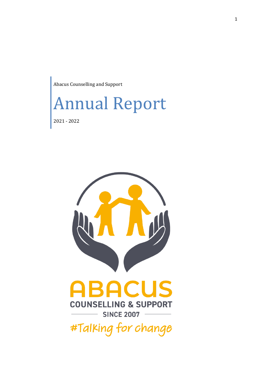Abacus Counselling and Support



2021 - 2022

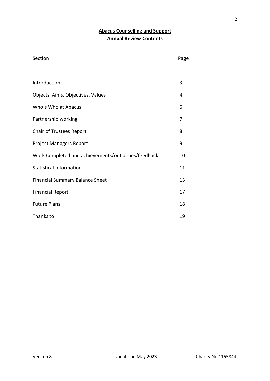# **Abacus Counselling and Support Annual Review Contents**

## Section Page

| Introduction                                      | 3  |
|---------------------------------------------------|----|
| Objects, Aims, Objectives, Values                 | 4  |
| Who's Who at Abacus                               | 6  |
| Partnership working                               | 7  |
| <b>Chair of Trustees Report</b>                   | 8  |
| <b>Project Managers Report</b>                    | 9  |
| Work Completed and achievements/outcomes/feedback | 10 |
| <b>Statistical Information</b>                    | 11 |
| <b>Financial Summary Balance Sheet</b>            | 13 |
| <b>Financial Report</b>                           | 17 |
| <b>Future Plans</b>                               | 18 |
| Thanks to                                         | 19 |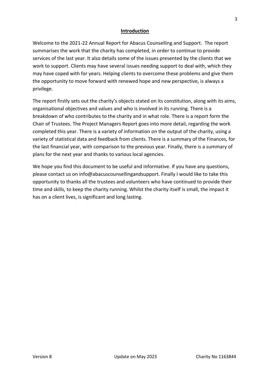### **Introduction**

Welcome to the 2021-22 Annual Report for Abacus Counselling and Support. The report summarises the work that the charity has completed, in order to continue to provide services of the last year. It also details some of the issues presented by the clients that we work to support. Clients may have several issues needing support to deal with, which they may have coped with for years. Helping clients to overcome these problems and give them the opportunity to move forward with renewed hope and new perspective, is always a privilege.

The report firstly sets out the charity's objects stated on its constitution, along with its aims, organisational objectives and values and who is involved in its running. There is a breakdown of who contributes to the charity and in what role. There is a report form the Chair of Trustees. The Project Managers Report goes into more detail, regarding the work completed this year. There is a variety of information on the output of the charity, using a variety of statistical data and feedback from clients. There is a summary of the Finances, for the last financial year, with comparison to the previous year. Finally, there is a summary of plans for the next year and thanks to various local agencies.

We hope you find this document to be useful and informative. If you have any questions, please contact us on info@abacuscounsellingandsupport. Finally I would like to take this opportunity to thanks all the trustees and volunteers who have continued to provide their time and skills, to keep the charity running. Whilst the charity itself is small, the impact it has on a client lives, is significant and long lasting.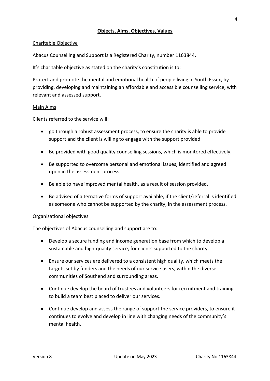#### **Objects, Aims, Objectives, Values**

#### Charitable Objective

Abacus Counselling and Support is a Registered Charity, number 1163844.

It's charitable objective as stated on the charity's constitution is to:

Protect and promote the mental and emotional health of people living in South Essex, by providing, developing and maintaining an affordable and accessible counselling service, with relevant and assessed support.

#### Main Aims

Clients referred to the service will:

- go through a robust assessment process, to ensure the charity is able to provide support and the client is willing to engage with the support provided.
- Be provided with good quality counselling sessions, which is monitored effectively.
- Be supported to overcome personal and emotional issues, identified and agreed upon in the assessment process.
- Be able to have improved mental health, as a result of session provided.
- Be advised of alternative forms of support available, if the client/referral is identified as someone who cannot be supported by the charity, in the assessment process.

#### Organisational objectives

The objectives of Abacus counselling and support are to:

- Develop a secure funding and income generation base from which to develop a sustainable and high-quality service, for clients supported to the charity.
- Ensure our services are delivered to a consistent high quality, which meets the targets set by funders and the needs of our service users, within the diverse communities of Southend and surrounding areas.
- Continue develop the board of trustees and volunteers for recruitment and training, to build a team best placed to deliver our services.
- Continue develop and assess the range of support the service providers, to ensure it continues to evolve and develop in line with changing needs of the community's mental health.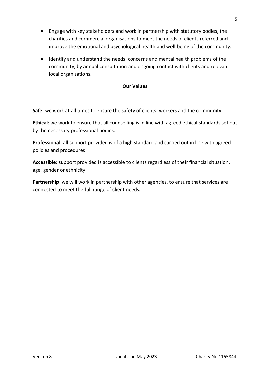- Engage with key stakeholders and work in partnership with statutory bodies, the charities and commercial organisations to meet the needs of clients referred and improve the emotional and psychological health and well-being of the community.
- Identify and understand the needs, concerns and mental health problems of the community, by annual consultation and ongoing contact with clients and relevant local organisations.

## **Our Values**

**Safe**: we work at all times to ensure the safety of clients, workers and the community.

**Ethical**: we work to ensure that all counselling is in line with agreed ethical standards set out by the necessary professional bodies.

**Professional**: all support provided is of a high standard and carried out in line with agreed policies and procedures.

**Accessible**: support provided is accessible to clients regardless of their financial situation, age, gender or ethnicity.

**Partnership**: we will work in partnership with other agencies, to ensure that services are connected to meet the full range of client needs.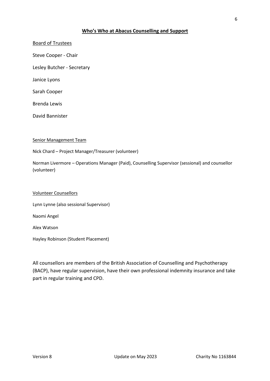#### **Who's Who at Abacus Counselling and Support**

# Board of Trustees Steve Cooper - Chair Lesley Butcher - Secretary

Janice Lyons

Sarah Cooper

Brenda Lewis

David Bannister

#### Senior Management Team

Nick Chard – Project Manager/Treasurer (volunteer)

Norman Livermore – Operations Manager (Paid), Counselling Supervisor (sessional) and counsellor (volunteer)

#### Volunteer Counsellors

Lynn Lynne (also sessional Supervisor)

Naomi Angel

Alex Watson

Hayley Robinson (Student Placement)

All counsellors are members of the British Association of Counselling and Psychotherapy (BACP), have regular supervision, have their own professional indemnity insurance and take part in regular training and CPD.

6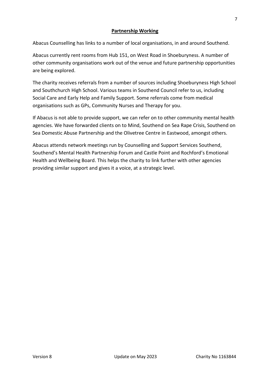### **Partnership Working**

Abacus Counselling has links to a number of local organisations, in and around Southend.

Abacus currently rent rooms from Hub 151, on West Road in Shoeburyness. A number of other community organisations work out of the venue and future partnership opportunities are being explored.

The charity receives referrals from a number of sources including Shoeburyness High School and Southchurch High School. Various teams in Southend Council refer to us, including Social Care and Early Help and Family Support. Some referrals come from medical organisations such as GPs, Community Nurses and Therapy for you.

If Abacus is not able to provide support, we can refer on to other community mental health agencies. We have forwarded clients on to Mind, Southend on Sea Rape Crisis, Southend on Sea Domestic Abuse Partnership and the Olivetree Centre in Eastwood, amongst others.

Abacus attends network meetings run by Counselling and Support Services Southend, Southend's Mental Health Partnership Forum and Castle Point and Rochford's Emotional Health and Wellbeing Board. This helps the charity to link further with other agencies providing similar support and gives it a voice, at a strategic level.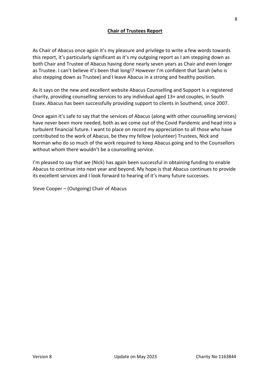## **Chair of Trustees Report**

As Chair of Abacus once again it's my pleasure and privilege to write a few words towards this report, it's particularly significant as it's my outgoing report as I am stepping down as both Chair and Trustee of Abacus having done nearly seven years as Chair and even longer as Trustee. I can't believe it's been that long!? However I'm confident that Sarah (who is also stepping down as Trustee) and I leave Abacus in a strong and healthy position.

As it says on the new and excellent website Abacus Counselling and Support is a registered charity, providing counselling services to any individual aged 13+ and couples, in South Essex. Abacus has been successfully providing support to clients in Southend, since 2007.

Once again it's safe to say that the services of Abacus (along with other counselling services) have never been more needed, both as we come out of the Covid Pandemic and head into a turbulent financial future. I want to place on record my appreciation to all those who have contributed to the work of Abacus, be they my fellow (volunteer) Trustees, Nick and Norman who do so much of the work required to keep Abacus going and to the Counsellors without whom there wouldn't be a counselling service.

I'm pleased to say that we (Nick) has again been successful in obtaining funding to enable Abacus to continue into next year and beyond. My hope is that Abacus continues to provide its excellent services and I look forward to hearing of it's many future successes.

Steve Cooper – (Outgoing) Chair of Abacus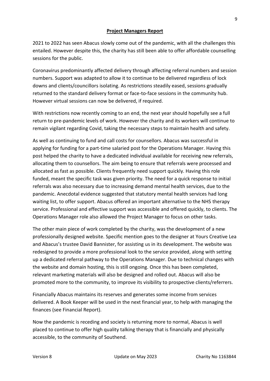#### **Project Managers Report**

2021 to 2022 has seen Abacus slowly come out of the pandemic, with all the challenges this entailed. However despite this, the charity has still been able to offer affordable counselling sessions for the public.

Coronavirus predominantly affected delivery through affecting referral numbers and session numbers. Support was adapted to allow it to continue to be delivered regardless of lock downs and clients/councillors isolating. As restrictions steadily eased, sessions gradually returned to the standard delivery format or face-to-face sessions in the community hub. However virtual sessions can now be delivered, if required.

With restrictions now recently coming to an end, the next year should hopefully see a full return to pre-pandemic levels of work. However the charity and its workers will continue to remain vigilant regarding Covid, taking the necessary steps to maintain health and safety.

As well as continuing to fund and call costs for counsellors. Abacus was successful in applying for funding for a part-time salaried post for the Operations Manager. Having this post helped the charity to have a dedicated individual available for receiving new referrals, allocating them to counsellors. The aim being to ensure that referrals were processed and allocated as fast as possible. Clients frequently need support quickly. Having this role funded, meant the specific task was given priority. The need for a quick response to initial referrals was also necessary due to increasing demand mental health services, due to the pandemic. Anecdotal evidence suggested that statutory mental health services had long waiting list, to offer support. Abacus offered an important alternative to the NHS therapy service. Professional and effective support was accessible and offered quickly, to clients. The Operations Manager role also allowed the Project Manager to focus on other tasks.

The other main piece of work completed by the charity, was the development of a new professionally designed website. Specific mention goes to the designer at Yours Creative Lea and Abacus's trustee David Bannister, for assisting us in its development. The website was redesigned to provide a more professional look to the service provided, along with setting up a dedicated referral pathway to the Operations Manager. Due to technical changes with the website and domain hosting, this is still ongoing. Once this has been completed, relevant marketing materials will also be designed and rolled out. Abacus will also be promoted more to the community, to improve its visibility to prospective clients/referrers.

Financially Abacus maintains its reserves and generates some income from services delivered. A Book Keeper will be used in the next financial year, to help with managing the finances (see Financial Report).

Now the pandemic is receding and society is returning more to normal, Abacus is well placed to continue to offer high quality talking therapy that is financially and physically accessible, to the community of Southend.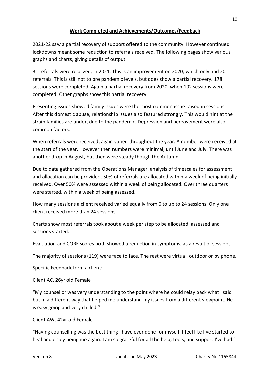## **Work Completed and Achievements/Outcomes/Feedback**

2021-22 saw a partial recovery of support offered to the community. However continued lockdowns meant some reduction to referrals received. The following pages show various graphs and charts, giving details of output.

31 referrals were received, in 2021. This is an improvement on 2020, which only had 20 referrals. This is still not to pre pandemic levels, but does show a partial recovery. 178 sessions were completed. Again a partial recovery from 2020, when 102 sessions were completed. Other graphs show this partial recovery.

Presenting issues showed family issues were the most common issue raised in sessions. After this domestic abuse, relationship issues also featured strongly. This would hint at the strain families are under, due to the pandemic. Depression and bereavement were also common factors.

When referrals were received, again varied throughout the year. A number were received at the start of the year. However then numbers were minimal, until June and July. There was another drop in August, but then were steady though the Autumn.

Due to data gathered from the Operations Manager, analysis of timescales for assessment and allocation can be provided. 50% of referrals are allocated within a week of being initially received. Over 50% were assessed within a week of being allocated. Over three quarters were started, within a week of being assessed.

How many sessions a client received varied equally from 6 to up to 24 sessions. Only one client received more than 24 sessions.

Charts show most referrals took about a week per step to be allocated, assessed and sessions started.

Evaluation and CORE scores both showed a reduction in symptoms, as a result of sessions.

The majority of sessions (119) were face to face. The rest were virtual, outdoor or by phone.

Specific Feedback form a client:

Client AC, 26yr old Female

"My counsellor was very understanding to the point where he could relay back what I said but in a different way that helped me understand my issues from a different viewpoint. He is easy going and very chilled."

Client AW, 42yr old Female

"Having counselling was the best thing I have ever done for myself. I feel like I've started to heal and enjoy being me again. I am so grateful for all the help, tools, and support I've had."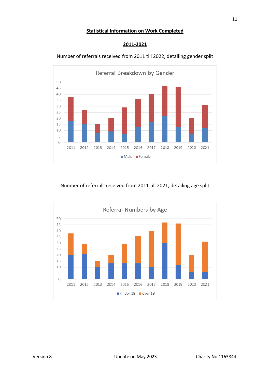#### **Statistical Information on Work Completed**



## **2011-2021**

## Number of referrals received from 2011 till 2022, detailing gender split

## Number of referrals received from 2011 till 2021, detailing age split

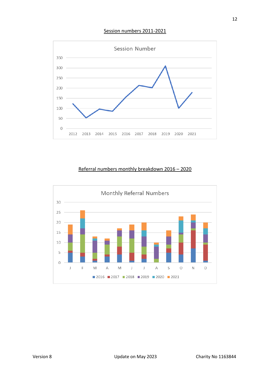Session numbers 2011-2021



## Referral numbers monthly breakdown 2016 – 2020

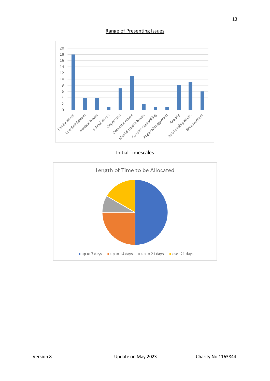#### Range of Presenting Issues



Initial Timescales

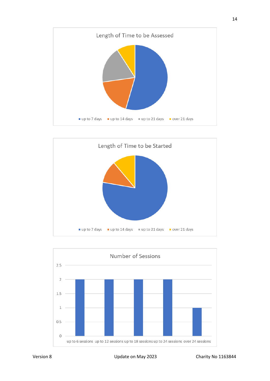



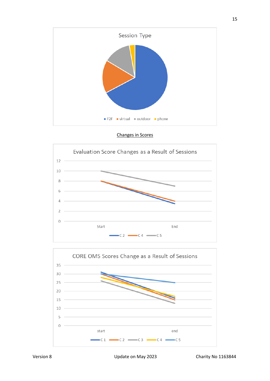

Changes in Scores



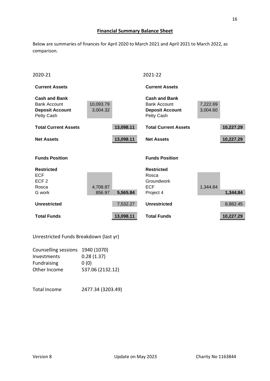## **Financial Summary Balance Sheet**

Below are summaries of finances for April 2020 to March 2021 and April 2021 to March 2022, as comparison.

| 2020-21                                                                             |                       |           | 2021-22                                                                             |                      |           |
|-------------------------------------------------------------------------------------|-----------------------|-----------|-------------------------------------------------------------------------------------|----------------------|-----------|
| <b>Current Assets</b>                                                               |                       |           | <b>Current Assets</b>                                                               |                      |           |
| <b>Cash and Bank</b><br><b>Bank Account</b><br><b>Deposit Account</b><br>Petty Cash | 10,093.79<br>3,004.32 |           | <b>Cash and Bank</b><br><b>Bank Account</b><br><b>Deposit Account</b><br>Petty Cash | 7,222.69<br>3,004.60 |           |
| <b>Total Current Assets</b>                                                         |                       | 13,098.11 | <b>Total Current Assets</b>                                                         |                      | 10,227.29 |
| <b>Net Assets</b>                                                                   |                       | 13,098.11 | <b>Net Assets</b>                                                                   |                      | 10,227.29 |
| <b>Funds Position</b>                                                               |                       |           | <b>Funds Position</b>                                                               |                      |           |
| <b>Restricted</b><br><b>ECF</b><br>ECF <sub>2</sub><br>Rosca                        | 4,708.87              |           | <b>Restricted</b><br>Rosca<br><b>Groundwork</b><br><b>ECF</b>                       | 1,344.84             |           |
| G work                                                                              | 856.97                | 5,565.84  | Project 4                                                                           |                      | 1,344.84  |
| <b>Unrestricted</b>                                                                 |                       | 7,532.27  | <b>Unrestricted</b>                                                                 |                      | 8,882.45  |
| <b>Total Funds</b>                                                                  |                       | 13,098.11 | <b>Total Funds</b>                                                                  |                      | 10,227.29 |

Unrestricted Funds Breakdown (last yr)

| Counselling sessions 1940 (1070) |                  |
|----------------------------------|------------------|
| Investments                      | 0.28(1.37)       |
| <b>Fundraising</b>               | 0(0)             |
| Other Income                     | 537.06 (2132.12) |
|                                  |                  |

Total Income 2477.34 (3203.49)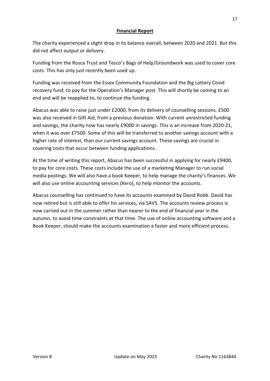### **Financial Report**

The charity experienced a slight drop in its balance overall, between 2020 and 2021. But this did not affect output or delivery.

Funding from the Rosca Trust and Tesco's Bags of Help/Groundwork was used to cover core costs. This has only just recently been used up.

Funding was received from the Essex Community Foundation and the Big Lottery Covid recovery fund, to pay for the Operation's Manager post. This will shortly be coming to an end and will be reapplied to, to continue the funding.

Abacus was able to raise just under £2000, from its delivery of counselling sessions. £500 was also received in Gift Aid, from a previous donation. With current unrestricted funding and savings, the charity now has nearly £9000 in savings. This is an increase from 2020-21, when it was over £7500. Some of this will be transferred to another savings account with a higher rate of interest, than our current savings account. These savings are crucial in covering costs that occur between funding applications.

At the time of writing this report, Abacus has been successful in applying for nearly £9400, to pay for core costs. These costs include the use of a marketing Manager to run social media postings. We will also have a book Keeper, to help manage the charity's finances. We will also use online accounting services (Xero), to help monitor the accounts.

Abacus counselling has continued to have its accounts examined by David Robb. David has now retired but is still able to offer his services, via SAVS. The accounts review process is now carried out in the summer rather than nearer to the end of financial year in the autumn, to avoid time constraints at that time. The use of online accounting software and a Book Keeper, should make the accounts examination a faster and more efficient process.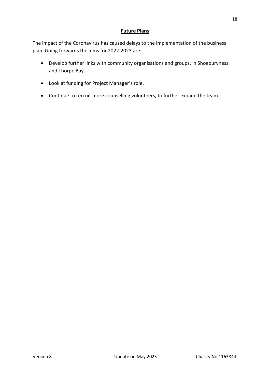## **Future Plans**

The impact of the Coronavirus has caused delays to the implementation of the business plan. Going forwards the aims for 2022-2023 are:

- Develop further links with community organisations and groups, in Shoeburyness and Thorpe Bay.
- Look at funding for Project Manager's role.
- Continue to recruit more counselling volunteers, to further expand the team.